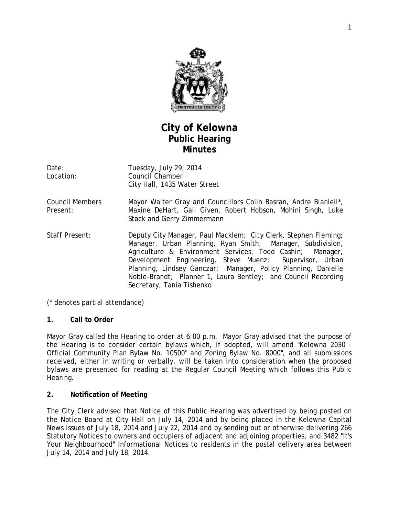

# **City of Kelowna Public Hearing Minutes**

| Date:     | Tuesday, July 29, 2014       |
|-----------|------------------------------|
| Location: | Council Chamber              |
|           | City Hall, 1435 Water Street |

- Council Members Present: Mayor Walter Gray and Councillors Colin Basran, Andre Blanleil\*, Maxine DeHart, Gail Given, Robert Hobson, Mohini Singh, Luke Stack and Gerry Zimmermann
- Staff Present: Deputy City Manager, Paul Macklem; City Clerk, Stephen Fleming; Manager, Urban Planning, Ryan Smith; Manager, Subdivision, Agriculture & Environment Services, Todd Cashin; Manager, Development Engineering, Steve Muenz; Supervisor, Urban Planning, Lindsey Ganczar; Manager, Policy Planning, Danielle Noble-Brandt; Planner 1, Laura Bentley; and Council Recording Secretary, Tania Tishenko

(\* denotes partial attendance)

### **1. Call to Order**

Mayor Gray called the Hearing to order at 6:00 p.m. Mayor Gray advised that the purpose of the Hearing is to consider certain bylaws which, if adopted, will amend "*Kelowna 2030* - Official Community Plan Bylaw No. 10500" and Zoning Bylaw No. 8000", and all submissions received, either in writing or verbally, will be taken into consideration when the proposed bylaws are presented for reading at the Regular Council Meeting which follows this Public Hearing.

### **2. Notification of Meeting**

The City Clerk advised that Notice of this Public Hearing was advertised by being posted on the Notice Board at City Hall on July 14, 2014 and by being placed in the Kelowna Capital News issues of July 18, 2014 and July 22, 2014 and by sending out or otherwise delivering 266 Statutory Notices to owners and occupiers of adjacent and adjoining properties, and 3482 "It's Your Neighbourhood" Informational Notices to residents in the postal delivery area between July 14, 2014 and July 18, 2014.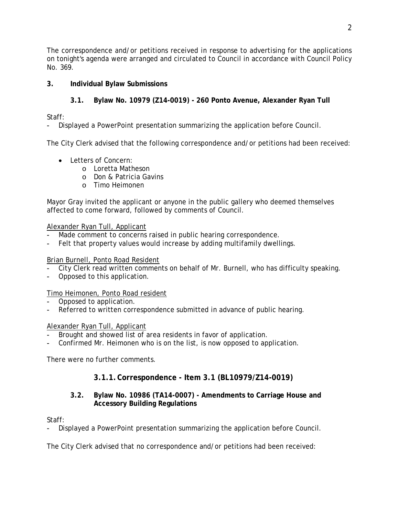The correspondence and/or petitions received in response to advertising for the applications on tonight's agenda were arranged and circulated to Council in accordance with Council Policy No. 369.

# **3. Individual Bylaw Submissions**

# **3.1. Bylaw No. 10979 (Z14-0019) - 260 Ponto Avenue, Alexander Ryan Tull**

Staff:

- Displayed a PowerPoint presentation summarizing the application before Council.

The City Clerk advised that the following correspondence and/or petitions had been received:

- Letters of Concern:
	- o Loretta Matheson
	- o Don & Patricia Gavins
	- o Timo Heimonen

Mayor Gray invited the applicant or anyone in the public gallery who deemed themselves affected to come forward, followed by comments of Council.

### Alexander Ryan Tull, Applicant

- Made comment to concerns raised in public hearing correspondence.
- Felt that property values would increase by adding multifamily dwellings.

## Brian Burnell, Ponto Road Resident

- City Clerk read written comments on behalf of Mr. Burnell, who has difficulty speaking.
- Opposed to this application.

# Timo Heimonen, Ponto Road resident

- Opposed to application.
- Referred to written correspondence submitted in advance of public hearing.

### Alexander Ryan Tull, Applicant

- Brought and showed list of area residents in favor of application.
- Confirmed Mr. Heimonen who is on the list, is now opposed to application.

There were no further comments.

# **3.1.1.Correspondence - Item 3.1 (BL10979/Z14-0019)**

### **3.2. Bylaw No. 10986 (TA14-0007) - Amendments to Carriage House and Accessory Building Regulations**

Staff:

Displayed a PowerPoint presentation summarizing the application before Council.

The City Clerk advised that no correspondence and/or petitions had been received: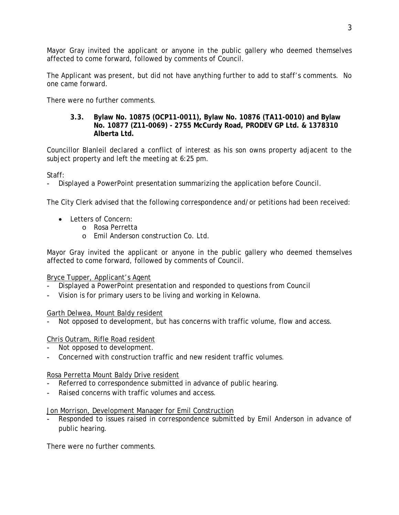Mayor Gray invited the applicant or anyone in the public gallery who deemed themselves affected to come forward, followed by comments of Council.

The Applicant was present, but did not have anything further to add to staff's comments. No one came forward.

There were no further comments.

#### **3.3. Bylaw No. 10875 (OCP11-0011), Bylaw No. 10876 (TA11-0010) and Bylaw No. 10877 (Z11-0069) - 2755 McCurdy Road, PRODEV GP Ltd. & 1378310 Alberta Ltd.**

Councillor Blanleil declared a conflict of interest as his son owns property adjacent to the subject property and left the meeting at 6:25 pm.

Staff:

- Displayed a PowerPoint presentation summarizing the application before Council.

The City Clerk advised that the following correspondence and/or petitions had been received:

- Letters of Concern:
	- o Rosa Perretta
	- o Emil Anderson construction Co. Ltd.

Mayor Gray invited the applicant or anyone in the public gallery who deemed themselves affected to come forward, followed by comments of Council.

### Bryce Tupper, Applicant's Agent

- Displayed a PowerPoint presentation and responded to questions from Council
- Vision is for primary users to be living and working in Kelowna.

Garth Delwea, Mount Baldy resident

Not opposed to development, but has concerns with traffic volume, flow and access.

### Chris Outram, Rifle Road resident

- Not opposed to development.
- Concerned with construction traffic and new resident traffic volumes.

### Rosa Perretta Mount Baldy Drive resident

- Referred to correspondence submitted in advance of public hearing.
- Raised concerns with traffic volumes and access.

#### Jon Morrison, Development Manager for Emil Construction

Responded to issues raised in correspondence submitted by Emil Anderson in advance of public hearing.

There were no further comments.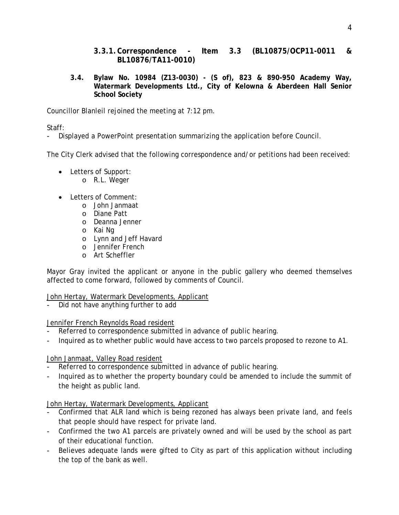- **3.3.1.Correspondence - Item 3.3 (BL10875/OCP11-0011 & BL10876/TA11-0010)**
- **3.4. Bylaw No. 10984 (Z13-0030) - (S of), 823 & 890-950 Academy Way, Watermark Developments Ltd., City of Kelowna & Aberdeen Hall Senior School Society**

Councillor Blanleil rejoined the meeting at 7:12 pm.

Staff:

Displayed a PowerPoint presentation summarizing the application before Council.

The City Clerk advised that the following correspondence and/or petitions had been received:

- Letters of Support:
	- o R.L. Weger
- Letters of Comment:
	- o John Janmaat
	- o Diane Patt
	- o Deanna Jenner
	- o Kai Ng
	- o Lynn and Jeff Havard
	- o Jennifer French
	- o Art Scheffler

Mayor Gray invited the applicant or anyone in the public gallery who deemed themselves affected to come forward, followed by comments of Council.

### John Hertay, Watermark Developments, Applicant

Did not have anything further to add

### Jennifer French Reynolds Road resident

- Referred to correspondence submitted in advance of public hearing.
- Inquired as to whether public would have access to two parcels proposed to rezone to A1.

### John Janmaat, Valley Road resident

- Referred to correspondence submitted in advance of public hearing.
- Inquired as to whether the property boundary could be amended to include the summit of the height as public land.

### John Hertay, Watermark Developments, Applicant

- Confirmed that ALR land which is being rezoned has always been private land, and feels that people should have respect for private land.
- Confirmed the two A1 parcels are privately owned and will be used by the school as part of their educational function.
- Believes adequate lands were gifted to City as part of this application without including the top of the bank as well.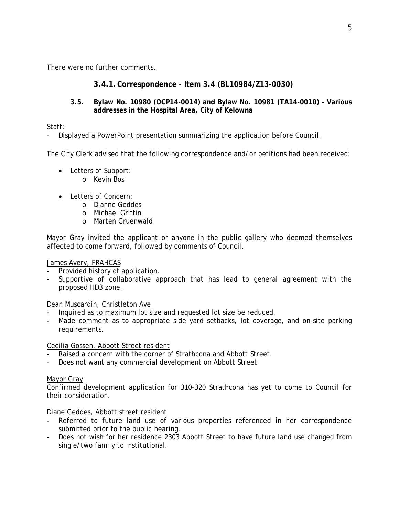There were no further comments.

### **3.4.1.Correspondence - Item 3.4 (BL10984/Z13-0030)**

### **3.5. Bylaw No. 10980 (OCP14-0014) and Bylaw No. 10981 (TA14-0010) - Various addresses in the Hospital Area, City of Kelowna**

Staff:

- Displayed a PowerPoint presentation summarizing the application before Council.

The City Clerk advised that the following correspondence and/or petitions had been received:

- Letters of Support:
	- o Kevin Bos
- Letters of Concern:
	- o Dianne Geddes
	- o Michael Griffin
	- o Marten Gruenwald

Mayor Gray invited the applicant or anyone in the public gallery who deemed themselves affected to come forward, followed by comments of Council.

#### James Avery, FRAHCAS

- Provided history of application.
- Supportive of collaborative approach that has lead to general agreement with the proposed HD3 zone.

Dean Muscardin, Christleton Ave

- Inquired as to maximum lot size and requested lot size be reduced.
- Made comment as to appropriate side yard setbacks, lot coverage, and on-site parking requirements.

#### Cecilia Gossen, Abbott Street resident

- Raised a concern with the corner of Strathcona and Abbott Street.
- Does not want any commercial development on Abbott Street.

#### Mayor Gray

Confirmed development application for 310-320 Strathcona has yet to come to Council for their consideration.

#### Diane Geddes, Abbott street resident

- Referred to future land use of various properties referenced in her correspondence submitted prior to the public hearing.
- Does not wish for her residence 2303 Abbott Street to have future land use changed from single/two family to institutional.